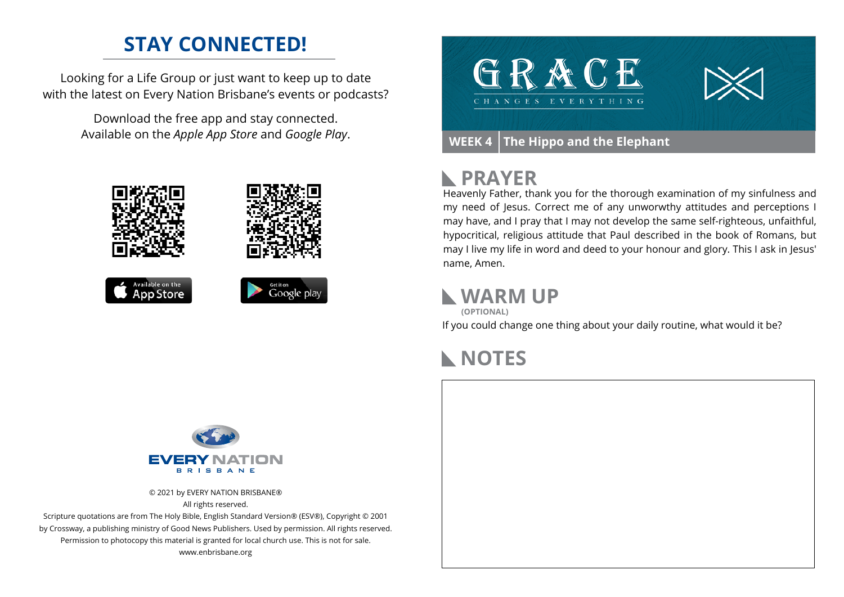# **STAY CONNECTED!**

Looking for a Life Group or just want to keep up to date with the latest on Every Nation Brisbane's events or podcasts?

> Download the free app and stay connected. Available on the *Apple App Store* and *Google Play*.





## **PRAYER**

Heavenly Father, thank you for the thorough examination of my sinfulness and my need of Jesus. Correct me of any unworwthy attitudes and perceptions I may have, and I pray that I may not develop the same self-righteous, unfaithful, hypocritical, religious attitude that Paul described in the book of Romans, but may I live my life in word and deed to your honour and glory. This I ask in Jesus' name, Amen.

#### **WARM UP**

If you could change one thing about your daily routine, what would it be? **(OPTIONAL)**

## **NOTES**



© 2021 by EVERY NATION BRISBANE® All rights reserved.

Scripture quotations are from The Holy Bible, English Standard Version® (ESV®), Copyright © 2001 by Crossway, a publishing ministry of Good News Publishers. Used by permission. All rights reserved. Permission to photocopy this material is granted for local church use. This is not for sale. www.enbrisbane.org